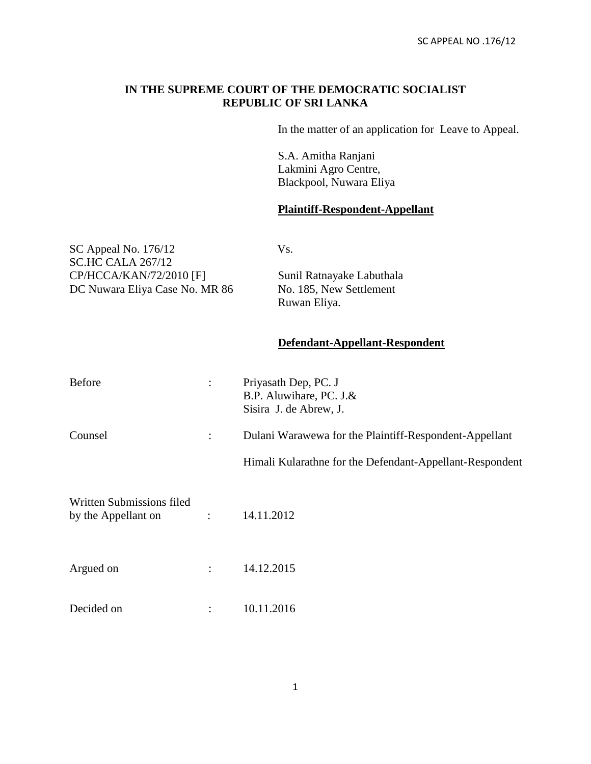## **IN THE SUPREME COURT OF THE DEMOCRATIC SOCIALIST REPUBLIC OF SRI LANKA**

In the matter of an application for Leave to Appeal.

S.A. Amitha Ranjani Lakmini Agro Centre, Blackpool, Nuwara Eliya

## **Plaintiff-Respondent-Appellant**

| Vs. |
|-----|
|     |
| Sur |
| No  |
|     |

Sunil Ratnayake Labuthala No. 185, New Settlement Ruwan Eliya.

## **Defendant-Appellant-Respondent**

| <b>Before</b>                                    | $\ddot{\cdot}$       | Priyasath Dep, PC. J<br>B.P. Aluwihare, PC. J.&<br>Sisira J. de Abrew, J. |
|--------------------------------------------------|----------------------|---------------------------------------------------------------------------|
| Counsel                                          | $\ddot{\cdot}$       | Dulani Warawewa for the Plaintiff-Respondent-Appellant                    |
|                                                  |                      | Himali Kularathne for the Defendant-Appellant-Respondent                  |
| Written Submissions filed<br>by the Appellant on | $\ddot{\cdot}$       | 14.11.2012                                                                |
| Argued on                                        | $\ddot{\phantom{0}}$ | 14.12.2015                                                                |
| Decided on                                       | $\bullet$            | 10.11.2016                                                                |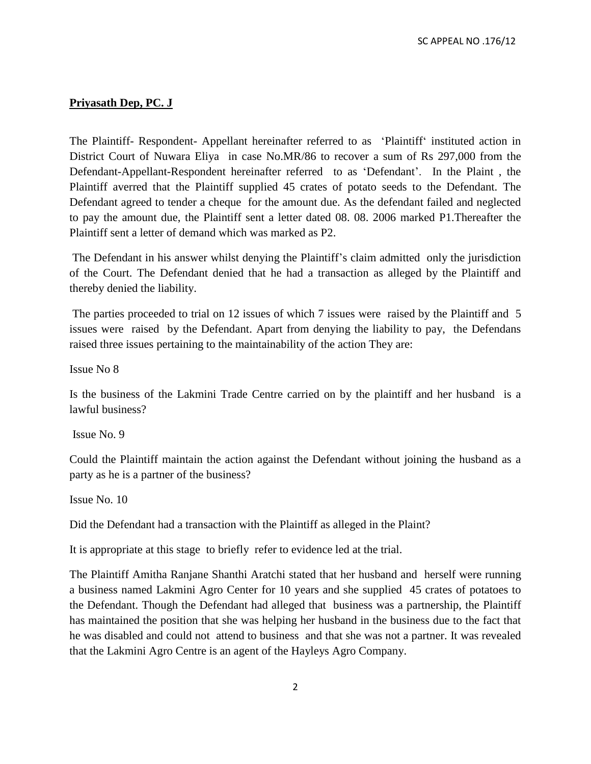## **Priyasath Dep, PC. J**

The Plaintiff- Respondent- Appellant hereinafter referred to as 'Plaintiff' instituted action in District Court of Nuwara Eliya in case No.MR/86 to recover a sum of Rs 297,000 from the Defendant-Appellant-Respondent hereinafter referred to as 'Defendant'. In the Plaint , the Plaintiff averred that the Plaintiff supplied 45 crates of potato seeds to the Defendant. The Defendant agreed to tender a cheque for the amount due. As the defendant failed and neglected to pay the amount due, the Plaintiff sent a letter dated 08. 08. 2006 marked P1.Thereafter the Plaintiff sent a letter of demand which was marked as P2.

The Defendant in his answer whilst denying the Plaintiff's claim admitted only the jurisdiction of the Court. The Defendant denied that he had a transaction as alleged by the Plaintiff and thereby denied the liability.

The parties proceeded to trial on 12 issues of which 7 issues were raised by the Plaintiff and 5 issues were raised by the Defendant. Apart from denying the liability to pay, the Defendans raised three issues pertaining to the maintainability of the action They are:

Issue No 8

Is the business of the Lakmini Trade Centre carried on by the plaintiff and her husband is a lawful business?

Issue No. 9

Could the Plaintiff maintain the action against the Defendant without joining the husband as a party as he is a partner of the business?

Issue No. 10

Did the Defendant had a transaction with the Plaintiff as alleged in the Plaint?

It is appropriate at this stage to briefly refer to evidence led at the trial.

The Plaintiff Amitha Ranjane Shanthi Aratchi stated that her husband and herself were running a business named Lakmini Agro Center for 10 years and she supplied 45 crates of potatoes to the Defendant. Though the Defendant had alleged that business was a partnership, the Plaintiff has maintained the position that she was helping her husband in the business due to the fact that he was disabled and could not attend to business and that she was not a partner. It was revealed that the Lakmini Agro Centre is an agent of the Hayleys Agro Company.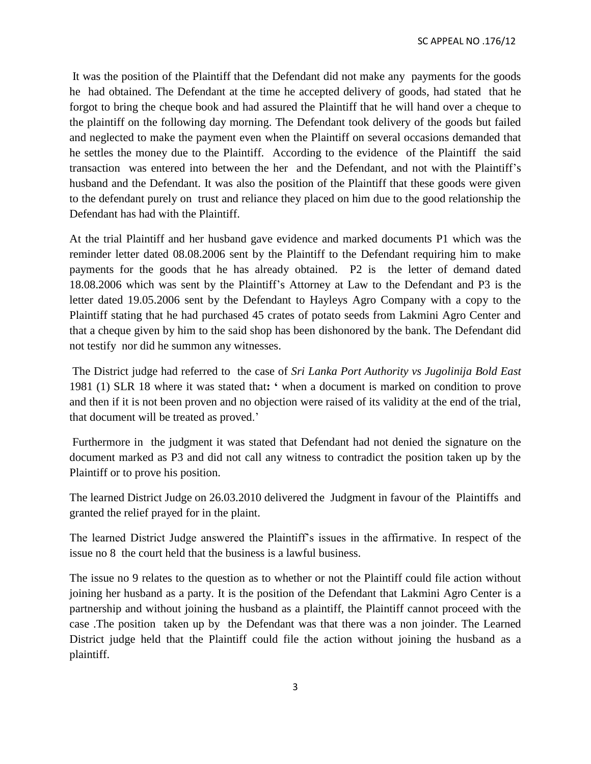It was the position of the Plaintiff that the Defendant did not make any payments for the goods he had obtained. The Defendant at the time he accepted delivery of goods, had stated that he forgot to bring the cheque book and had assured the Plaintiff that he will hand over a cheque to the plaintiff on the following day morning. The Defendant took delivery of the goods but failed and neglected to make the payment even when the Plaintiff on several occasions demanded that he settles the money due to the Plaintiff. According to the evidence of the Plaintiff the said transaction was entered into between the her and the Defendant, and not with the Plaintiff's husband and the Defendant. It was also the position of the Plaintiff that these goods were given to the defendant purely on trust and reliance they placed on him due to the good relationship the Defendant has had with the Plaintiff.

At the trial Plaintiff and her husband gave evidence and marked documents P1 which was the reminder letter dated 08.08.2006 sent by the Plaintiff to the Defendant requiring him to make payments for the goods that he has already obtained. P2 is the letter of demand dated 18.08.2006 which was sent by the Plaintiff's Attorney at Law to the Defendant and P3 is the letter dated 19.05.2006 sent by the Defendant to Hayleys Agro Company with a copy to the Plaintiff stating that he had purchased 45 crates of potato seeds from Lakmini Agro Center and that a cheque given by him to the said shop has been dishonored by the bank. The Defendant did not testify nor did he summon any witnesses.

The District judge had referred to the case of *Sri Lanka Port Authority vs Jugolinija Bold East* 1981 (1) SLR 18 where it was stated that**: '** when a document is marked on condition to prove and then if it is not been proven and no objection were raised of its validity at the end of the trial, that document will be treated as proved.'

Furthermore in the judgment it was stated that Defendant had not denied the signature on the document marked as P3 and did not call any witness to contradict the position taken up by the Plaintiff or to prove his position.

The learned District Judge on 26.03.2010 delivered the Judgment in favour of the Plaintiffs and granted the relief prayed for in the plaint.

The learned District Judge answered the Plaintiff's issues in the affirmative. In respect of the issue no 8 the court held that the business is a lawful business.

The issue no 9 relates to the question as to whether or not the Plaintiff could file action without joining her husband as a party. It is the position of the Defendant that Lakmini Agro Center is a partnership and without joining the husband as a plaintiff, the Plaintiff cannot proceed with the case .The position taken up by the Defendant was that there was a non joinder. The Learned District judge held that the Plaintiff could file the action without joining the husband as a plaintiff.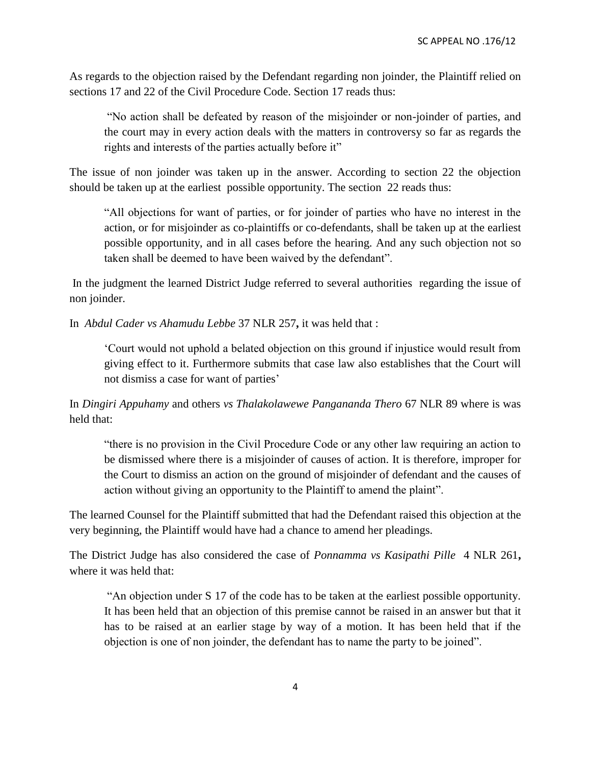As regards to the objection raised by the Defendant regarding non joinder, the Plaintiff relied on sections 17 and 22 of the Civil Procedure Code. Section 17 reads thus:

"No action shall be defeated by reason of the misjoinder or non-joinder of parties, and the court may in every action deals with the matters in controversy so far as regards the rights and interests of the parties actually before it"

The issue of non joinder was taken up in the answer. According to section 22 the objection should be taken up at the earliest possible opportunity. The section 22 reads thus:

"All objections for want of parties, or for joinder of parties who have no interest in the action, or for misjoinder as co-plaintiffs or co-defendants, shall be taken up at the earliest possible opportunity, and in all cases before the hearing. And any such objection not so taken shall be deemed to have been waived by the defendant".

In the judgment the learned District Judge referred to several authorities regarding the issue of non joinder.

In *Abdul Cader vs Ahamudu Lebbe* 37 NLR 257**,** it was held that :

'Court would not uphold a belated objection on this ground if injustice would result from giving effect to it. Furthermore submits that case law also establishes that the Court will not dismiss a case for want of parties'

In *Dingiri Appuhamy* and others *vs Thalakolawewe Pangananda Thero* 67 NLR 89 where is was held that:

"there is no provision in the Civil Procedure Code or any other law requiring an action to be dismissed where there is a misjoinder of causes of action. It is therefore, improper for the Court to dismiss an action on the ground of misjoinder of defendant and the causes of action without giving an opportunity to the Plaintiff to amend the plaint".

The learned Counsel for the Plaintiff submitted that had the Defendant raised this objection at the very beginning, the Plaintiff would have had a chance to amend her pleadings.

The District Judge has also considered the case of *Ponnamma vs Kasipathi Pille* 4 NLR 261**,**  where it was held that:

"An objection under S 17 of the code has to be taken at the earliest possible opportunity. It has been held that an objection of this premise cannot be raised in an answer but that it has to be raised at an earlier stage by way of a motion. It has been held that if the objection is one of non joinder, the defendant has to name the party to be joined".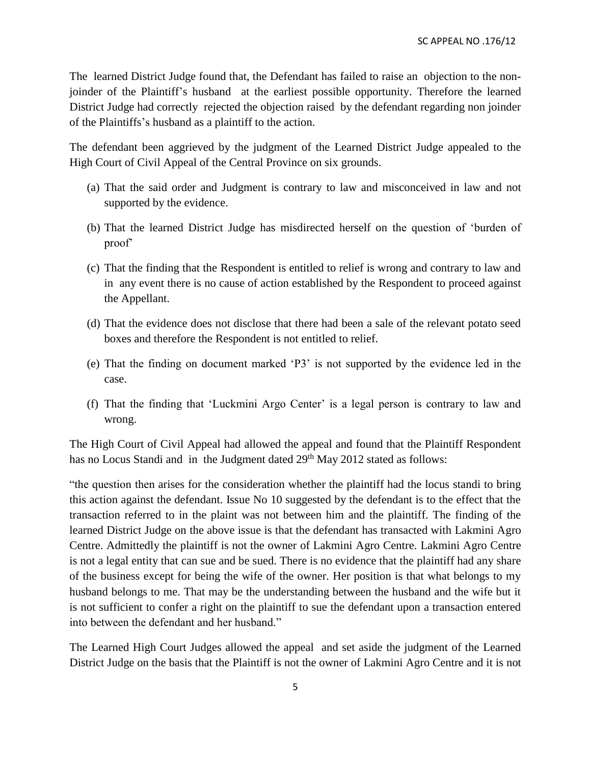The learned District Judge found that, the Defendant has failed to raise an objection to the nonjoinder of the Plaintiff's husband at the earliest possible opportunity. Therefore the learned District Judge had correctly rejected the objection raised by the defendant regarding non joinder of the Plaintiffs's husband as a plaintiff to the action.

The defendant been aggrieved by the judgment of the Learned District Judge appealed to the High Court of Civil Appeal of the Central Province on six grounds.

- (a) That the said order and Judgment is contrary to law and misconceived in law and not supported by the evidence.
- (b) That the learned District Judge has misdirected herself on the question of 'burden of proof'
- (c) That the finding that the Respondent is entitled to relief is wrong and contrary to law and in any event there is no cause of action established by the Respondent to proceed against the Appellant.
- (d) That the evidence does not disclose that there had been a sale of the relevant potato seed boxes and therefore the Respondent is not entitled to relief.
- (e) That the finding on document marked 'P3' is not supported by the evidence led in the case.
- (f) That the finding that 'Luckmini Argo Center' is a legal person is contrary to law and wrong.

The High Court of Civil Appeal had allowed the appeal and found that the Plaintiff Respondent has no Locus Standi and in the Judgment dated 29<sup>th</sup> May 2012 stated as follows:

"the question then arises for the consideration whether the plaintiff had the locus standi to bring this action against the defendant. Issue No 10 suggested by the defendant is to the effect that the transaction referred to in the plaint was not between him and the plaintiff. The finding of the learned District Judge on the above issue is that the defendant has transacted with Lakmini Agro Centre. Admittedly the plaintiff is not the owner of Lakmini Agro Centre. Lakmini Agro Centre is not a legal entity that can sue and be sued. There is no evidence that the plaintiff had any share of the business except for being the wife of the owner. Her position is that what belongs to my husband belongs to me. That may be the understanding between the husband and the wife but it is not sufficient to confer a right on the plaintiff to sue the defendant upon a transaction entered into between the defendant and her husband."

The Learned High Court Judges allowed the appeal and set aside the judgment of the Learned District Judge on the basis that the Plaintiff is not the owner of Lakmini Agro Centre and it is not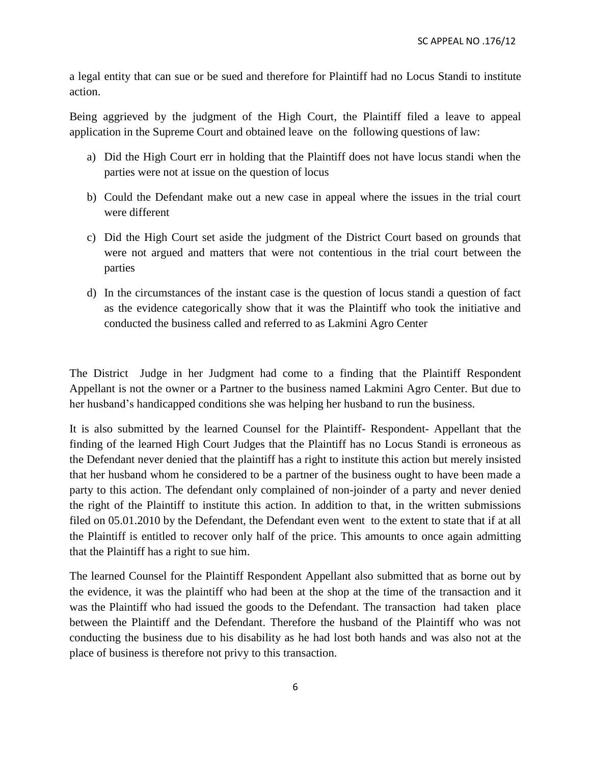a legal entity that can sue or be sued and therefore for Plaintiff had no Locus Standi to institute action.

Being aggrieved by the judgment of the High Court, the Plaintiff filed a leave to appeal application in the Supreme Court and obtained leave on the following questions of law:

- a) Did the High Court err in holding that the Plaintiff does not have locus standi when the parties were not at issue on the question of locus
- b) Could the Defendant make out a new case in appeal where the issues in the trial court were different
- c) Did the High Court set aside the judgment of the District Court based on grounds that were not argued and matters that were not contentious in the trial court between the parties
- d) In the circumstances of the instant case is the question of locus standi a question of fact as the evidence categorically show that it was the Plaintiff who took the initiative and conducted the business called and referred to as Lakmini Agro Center

The District Judge in her Judgment had come to a finding that the Plaintiff Respondent Appellant is not the owner or a Partner to the business named Lakmini Agro Center. But due to her husband's handicapped conditions she was helping her husband to run the business.

It is also submitted by the learned Counsel for the Plaintiff- Respondent- Appellant that the finding of the learned High Court Judges that the Plaintiff has no Locus Standi is erroneous as the Defendant never denied that the plaintiff has a right to institute this action but merely insisted that her husband whom he considered to be a partner of the business ought to have been made a party to this action. The defendant only complained of non-joinder of a party and never denied the right of the Plaintiff to institute this action. In addition to that, in the written submissions filed on 05.01.2010 by the Defendant, the Defendant even went to the extent to state that if at all the Plaintiff is entitled to recover only half of the price. This amounts to once again admitting that the Plaintiff has a right to sue him.

The learned Counsel for the Plaintiff Respondent Appellant also submitted that as borne out by the evidence, it was the plaintiff who had been at the shop at the time of the transaction and it was the Plaintiff who had issued the goods to the Defendant. The transaction had taken place between the Plaintiff and the Defendant. Therefore the husband of the Plaintiff who was not conducting the business due to his disability as he had lost both hands and was also not at the place of business is therefore not privy to this transaction.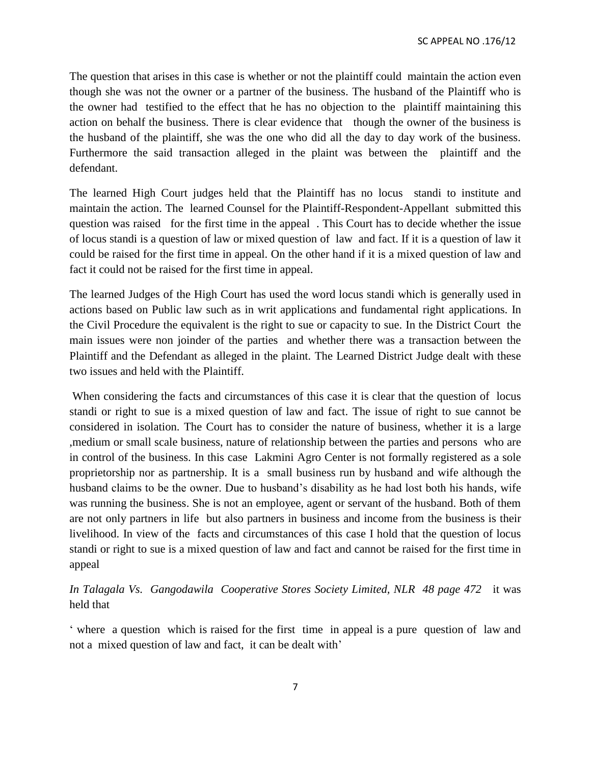The question that arises in this case is whether or not the plaintiff could maintain the action even though she was not the owner or a partner of the business. The husband of the Plaintiff who is the owner had testified to the effect that he has no objection to the plaintiff maintaining this action on behalf the business. There is clear evidence that though the owner of the business is the husband of the plaintiff, she was the one who did all the day to day work of the business. Furthermore the said transaction alleged in the plaint was between the plaintiff and the defendant.

The learned High Court judges held that the Plaintiff has no locus standi to institute and maintain the action. The learned Counsel for the Plaintiff-Respondent-Appellant submitted this question was raised for the first time in the appeal . This Court has to decide whether the issue of locus standi is a question of law or mixed question of law and fact. If it is a question of law it could be raised for the first time in appeal. On the other hand if it is a mixed question of law and fact it could not be raised for the first time in appeal.

The learned Judges of the High Court has used the word locus standi which is generally used in actions based on Public law such as in writ applications and fundamental right applications. In the Civil Procedure the equivalent is the right to sue or capacity to sue. In the District Court the main issues were non joinder of the parties and whether there was a transaction between the Plaintiff and the Defendant as alleged in the plaint. The Learned District Judge dealt with these two issues and held with the Plaintiff.

When considering the facts and circumstances of this case it is clear that the question of locus standi or right to sue is a mixed question of law and fact. The issue of right to sue cannot be considered in isolation. The Court has to consider the nature of business, whether it is a large ,medium or small scale business, nature of relationship between the parties and persons who are in control of the business. In this case Lakmini Agro Center is not formally registered as a sole proprietorship nor as partnership. It is a small business run by husband and wife although the husband claims to be the owner. Due to husband's disability as he had lost both his hands, wife was running the business. She is not an employee, agent or servant of the husband. Both of them are not only partners in life but also partners in business and income from the business is their livelihood. In view of the facts and circumstances of this case I hold that the question of locus standi or right to sue is a mixed question of law and fact and cannot be raised for the first time in appeal

*In Talagala Vs. Gangodawila Cooperative Stores Society Limited, NLR 48 page 472* it was held that

' where a question which is raised for the first time in appeal is a pure question of law and not a mixed question of law and fact, it can be dealt with'